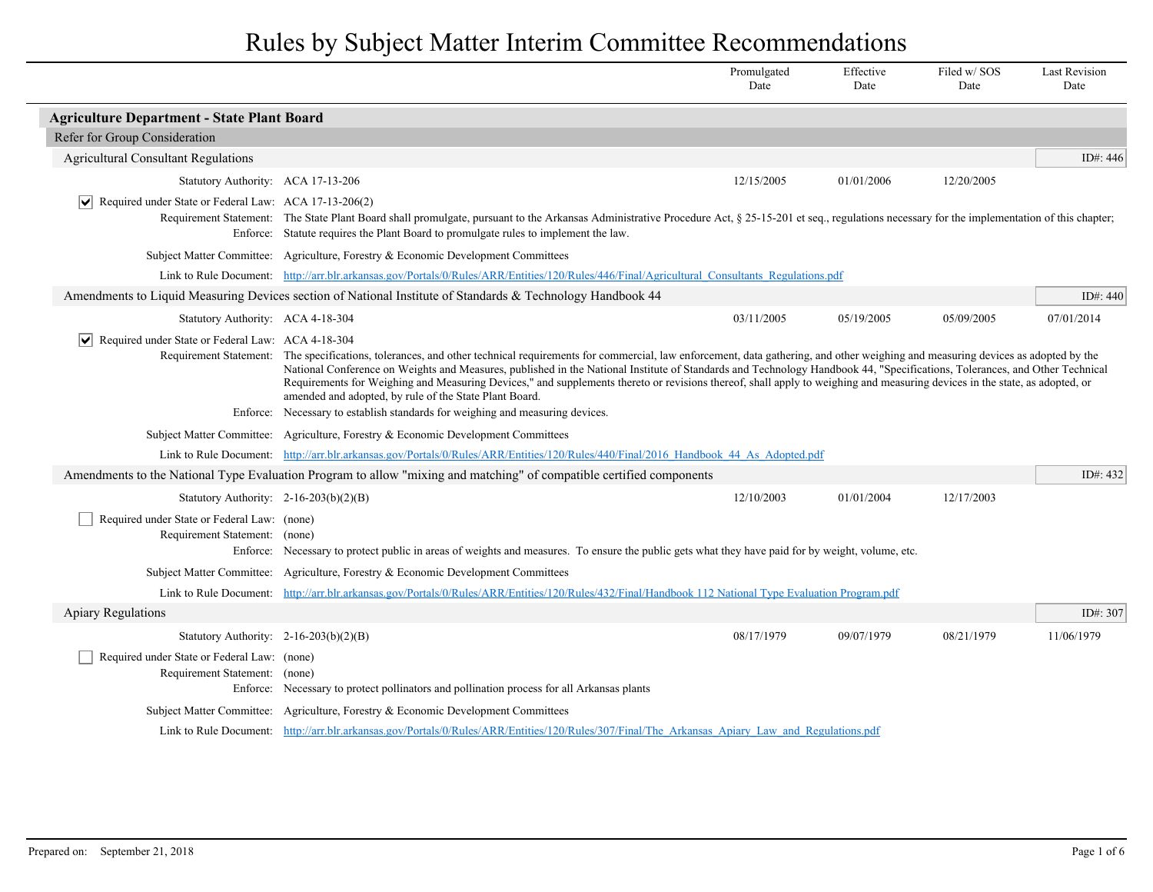|                                                                              |                                                                                                                                                                                                                                                                                                                                                                                                                                                                                                                                                                                                                                                                                                            | Promulgated<br>Date | Effective<br>Date | Filed w/SOS<br>Date | <b>Last Revision</b><br>Date |
|------------------------------------------------------------------------------|------------------------------------------------------------------------------------------------------------------------------------------------------------------------------------------------------------------------------------------------------------------------------------------------------------------------------------------------------------------------------------------------------------------------------------------------------------------------------------------------------------------------------------------------------------------------------------------------------------------------------------------------------------------------------------------------------------|---------------------|-------------------|---------------------|------------------------------|
| <b>Agriculture Department - State Plant Board</b>                            |                                                                                                                                                                                                                                                                                                                                                                                                                                                                                                                                                                                                                                                                                                            |                     |                   |                     |                              |
| Refer for Group Consideration                                                |                                                                                                                                                                                                                                                                                                                                                                                                                                                                                                                                                                                                                                                                                                            |                     |                   |                     |                              |
| <b>Agricultural Consultant Regulations</b>                                   |                                                                                                                                                                                                                                                                                                                                                                                                                                                                                                                                                                                                                                                                                                            |                     |                   |                     | ID#: 446                     |
| Statutory Authority: ACA 17-13-206                                           |                                                                                                                                                                                                                                                                                                                                                                                                                                                                                                                                                                                                                                                                                                            | 12/15/2005          | 01/01/2006        | 12/20/2005          |                              |
| Required under State or Federal Law: ACA 17-13-206(2)                        | Requirement Statement: The State Plant Board shall promulgate, pursuant to the Arkansas Administrative Procedure Act, § 25-15-201 et seq., regulations necessary for the implementation of this chapter;<br>Enforce: Statute requires the Plant Board to promulgate rules to implement the law.                                                                                                                                                                                                                                                                                                                                                                                                            |                     |                   |                     |                              |
|                                                                              | Subject Matter Committee: Agriculture, Forestry & Economic Development Committees                                                                                                                                                                                                                                                                                                                                                                                                                                                                                                                                                                                                                          |                     |                   |                     |                              |
|                                                                              | Link to Rule Document: http://arr.blr.arkansas.gov/Portals/0/Rules/ARR/Entities/120/Rules/446/Final/Agricultural Consultants Regulations.pdf                                                                                                                                                                                                                                                                                                                                                                                                                                                                                                                                                               |                     |                   |                     |                              |
|                                                                              | Amendments to Liquid Measuring Devices section of National Institute of Standards & Technology Handbook 44                                                                                                                                                                                                                                                                                                                                                                                                                                                                                                                                                                                                 |                     |                   |                     | ID#: 440                     |
| Statutory Authority: ACA 4-18-304                                            |                                                                                                                                                                                                                                                                                                                                                                                                                                                                                                                                                                                                                                                                                                            | 03/11/2005          | 05/19/2005        | 05/09/2005          | 07/01/2014                   |
| $ \vee $ Required under State or Federal Law: ACA 4-18-304                   | Requirement Statement: The specifications, tolerances, and other technical requirements for commercial, law enforcement, data gathering, and other weighing and measuring devices as adopted by the<br>National Conference on Weights and Measures, published in the National Institute of Standards and Technology Handbook 44, "Specifications, Tolerances, and Other Technical<br>Requirements for Weighing and Measuring Devices," and supplements thereto or revisions thereof, shall apply to weighing and measuring devices in the state, as adopted, or<br>amended and adopted, by rule of the State Plant Board.<br>Enforce: Necessary to establish standards for weighing and measuring devices. |                     |                   |                     |                              |
|                                                                              | Subject Matter Committee: Agriculture, Forestry & Economic Development Committees                                                                                                                                                                                                                                                                                                                                                                                                                                                                                                                                                                                                                          |                     |                   |                     |                              |
|                                                                              | Link to Rule Document: http://arr.blr.arkansas.gov/Portals/0/Rules/ARR/Entities/120/Rules/440/Final/2016 Handbook 44 As Adopted.pdf                                                                                                                                                                                                                                                                                                                                                                                                                                                                                                                                                                        |                     |                   |                     |                              |
|                                                                              | Amendments to the National Type Evaluation Program to allow "mixing and matching" of compatible certified components                                                                                                                                                                                                                                                                                                                                                                                                                                                                                                                                                                                       |                     |                   |                     | ID#: 432                     |
| Statutory Authority: $2-16-203(b)(2)(B)$                                     |                                                                                                                                                                                                                                                                                                                                                                                                                                                                                                                                                                                                                                                                                                            | 12/10/2003          | 01/01/2004        | 12/17/2003          |                              |
| Required under State or Federal Law: (none)<br>Requirement Statement: (none) | Enforce: Necessary to protect public in areas of weights and measures. To ensure the public gets what they have paid for by weight, volume, etc.                                                                                                                                                                                                                                                                                                                                                                                                                                                                                                                                                           |                     |                   |                     |                              |
|                                                                              | Subject Matter Committee: Agriculture, Forestry & Economic Development Committees                                                                                                                                                                                                                                                                                                                                                                                                                                                                                                                                                                                                                          |                     |                   |                     |                              |
|                                                                              | Link to Rule Document: http://arr.blr.arkansas.gov/Portals/0/Rules/ARR/Entities/120/Rules/432/Final/Handbook 112 National Type Evaluation Program.pdf                                                                                                                                                                                                                                                                                                                                                                                                                                                                                                                                                      |                     |                   |                     |                              |
| <b>Apiary Regulations</b>                                                    |                                                                                                                                                                                                                                                                                                                                                                                                                                                                                                                                                                                                                                                                                                            |                     |                   |                     | ID#: 307                     |
| Statutory Authority: $2-16-203(b)(2)(B)$                                     |                                                                                                                                                                                                                                                                                                                                                                                                                                                                                                                                                                                                                                                                                                            | 08/17/1979          | 09/07/1979        | 08/21/1979          | 11/06/1979                   |
| Required under State or Federal Law: (none)<br>Requirement Statement: (none) | Enforce: Necessary to protect pollinators and pollination process for all Arkansas plants                                                                                                                                                                                                                                                                                                                                                                                                                                                                                                                                                                                                                  |                     |                   |                     |                              |
|                                                                              | Subject Matter Committee: Agriculture, Forestry & Economic Development Committees                                                                                                                                                                                                                                                                                                                                                                                                                                                                                                                                                                                                                          |                     |                   |                     |                              |
|                                                                              | Link to Rule Document: http://arr.blr.arkansas.gov/Portals/0/Rules/ARR/Entities/120/Rules/307/Final/The Arkansas Apiary Law and Regulations.pdf                                                                                                                                                                                                                                                                                                                                                                                                                                                                                                                                                            |                     |                   |                     |                              |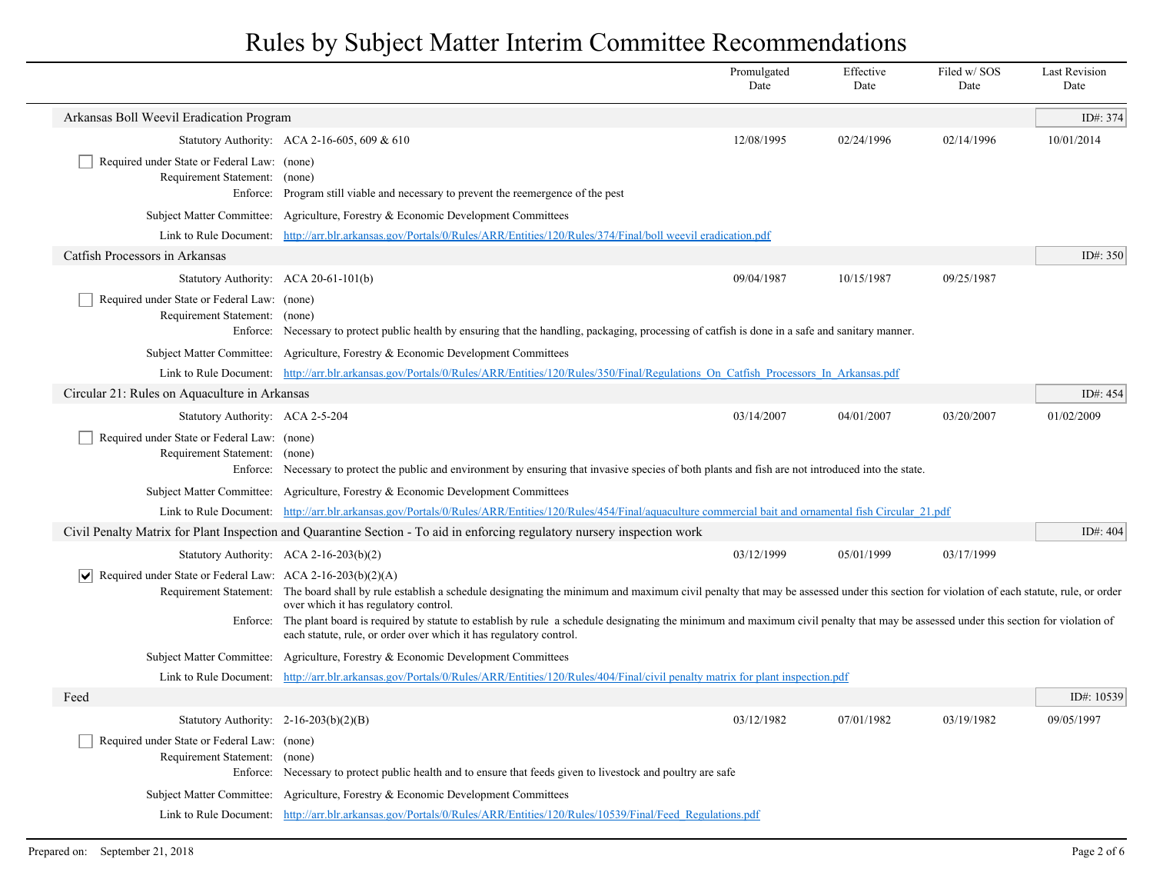|                                                                                 |                                                                                                                                                                                                                                                                  | Promulgated<br>Date | Effective<br>Date | Filed w/SOS<br>Date | <b>Last Revision</b><br>Date |
|---------------------------------------------------------------------------------|------------------------------------------------------------------------------------------------------------------------------------------------------------------------------------------------------------------------------------------------------------------|---------------------|-------------------|---------------------|------------------------------|
| Arkansas Boll Weevil Eradication Program                                        |                                                                                                                                                                                                                                                                  |                     |                   |                     | ID#: 374                     |
|                                                                                 | Statutory Authority: ACA 2-16-605, 609 & 610                                                                                                                                                                                                                     | 12/08/1995          | 02/24/1996        | 02/14/1996          | 10/01/2014                   |
| Required under State or Federal Law: (none)                                     |                                                                                                                                                                                                                                                                  |                     |                   |                     |                              |
| Requirement Statement: (none)                                                   | Enforce: Program still viable and necessary to prevent the reemergence of the pest                                                                                                                                                                               |                     |                   |                     |                              |
|                                                                                 | Subject Matter Committee: Agriculture, Forestry & Economic Development Committees                                                                                                                                                                                |                     |                   |                     |                              |
|                                                                                 | Link to Rule Document: http://arr.blr.arkansas.gov/Portals/0/Rules/ARR/Entities/120/Rules/374/Final/boll weevil eradication.pdf                                                                                                                                  |                     |                   |                     |                              |
| Catfish Processors in Arkansas                                                  |                                                                                                                                                                                                                                                                  |                     |                   |                     | ID#: 350                     |
|                                                                                 | Statutory Authority: ACA 20-61-101(b)                                                                                                                                                                                                                            | 09/04/1987          | 10/15/1987        | 09/25/1987          |                              |
| Required under State or Federal Law: (none)                                     |                                                                                                                                                                                                                                                                  |                     |                   |                     |                              |
| Requirement Statement:                                                          | (none)<br>Enforce: Necessary to protect public health by ensuring that the handling, packaging, processing of catfish is done in a safe and sanitary manner.                                                                                                     |                     |                   |                     |                              |
|                                                                                 | Subject Matter Committee: Agriculture, Forestry & Economic Development Committees                                                                                                                                                                                |                     |                   |                     |                              |
|                                                                                 | Link to Rule Document: http://arr.blr.arkansas.gov/Portals/0/Rules/ARR/Entities/120/Rules/350/Final/Regulations On Catfish Processors In Arkansas.pdf                                                                                                            |                     |                   |                     |                              |
| Circular 21: Rules on Aquaculture in Arkansas                                   |                                                                                                                                                                                                                                                                  |                     |                   |                     | ID#: 454                     |
| Statutory Authority: ACA 2-5-204                                                |                                                                                                                                                                                                                                                                  | 03/14/2007          | 04/01/2007        | 03/20/2007          | 01/02/2009                   |
| Required under State or Federal Law: (none)                                     |                                                                                                                                                                                                                                                                  |                     |                   |                     |                              |
| Requirement Statement: (none)                                                   | Enforce: Necessary to protect the public and environment by ensuring that invasive species of both plants and fish are not introduced into the state.                                                                                                            |                     |                   |                     |                              |
|                                                                                 | Subject Matter Committee: Agriculture, Forestry & Economic Development Committees                                                                                                                                                                                |                     |                   |                     |                              |
|                                                                                 | Link to Rule Document: http://arr.blr.arkansas.gov/Portals/0/Rules/ARR/Entities/120/Rules/454/Final/aquaculture commercial bait and ornamental fish Circular 21.pdf                                                                                              |                     |                   |                     |                              |
|                                                                                 | Civil Penalty Matrix for Plant Inspection and Quarantine Section - To aid in enforcing regulatory nursery inspection work                                                                                                                                        |                     |                   |                     | ID#: $404$                   |
|                                                                                 | Statutory Authority: ACA 2-16-203(b)(2)                                                                                                                                                                                                                          | 03/12/1999          | 05/01/1999        | 03/17/1999          |                              |
| $\sqrt{\phantom{a}}$ Required under State or Federal Law: ACA 2-16-203(b)(2)(A) |                                                                                                                                                                                                                                                                  |                     |                   |                     |                              |
|                                                                                 | Requirement Statement: The board shall by rule establish a schedule designating the minimum and maximum civil penalty that may be assessed under this section for violation of each statute, rule, or order<br>over which it has regulatory control.             |                     |                   |                     |                              |
|                                                                                 | Enforce: The plant board is required by statute to establish by rule a schedule designating the minimum and maximum civil penalty that may be assessed under this section for violation of<br>each statute, rule, or order over which it has regulatory control. |                     |                   |                     |                              |
|                                                                                 | Subject Matter Committee: Agriculture, Forestry & Economic Development Committees                                                                                                                                                                                |                     |                   |                     |                              |
|                                                                                 | Link to Rule Document: http://arr.blr.arkansas.gov/Portals/0/Rules/ARR/Entities/120/Rules/404/Final/civil penalty matrix for plant inspection.pdf                                                                                                                |                     |                   |                     |                              |
| Feed                                                                            |                                                                                                                                                                                                                                                                  |                     |                   |                     | ID#: 10539                   |
| Statutory Authority: 2-16-203(b)(2)(B)                                          |                                                                                                                                                                                                                                                                  | 03/12/1982          | 07/01/1982        | 03/19/1982          | 09/05/1997                   |
| Required under State or Federal Law: (none)<br>Requirement Statement: (none)    | Enforce: Necessary to protect public health and to ensure that feeds given to livestock and poultry are safe                                                                                                                                                     |                     |                   |                     |                              |
|                                                                                 | Subject Matter Committee: Agriculture, Forestry & Economic Development Committees                                                                                                                                                                                |                     |                   |                     |                              |
|                                                                                 | Link to Rule Document: http://arr.blr.arkansas.gov/Portals/0/Rules/ARR/Entities/120/Rules/10539/Final/Feed Regulations.pdf                                                                                                                                       |                     |                   |                     |                              |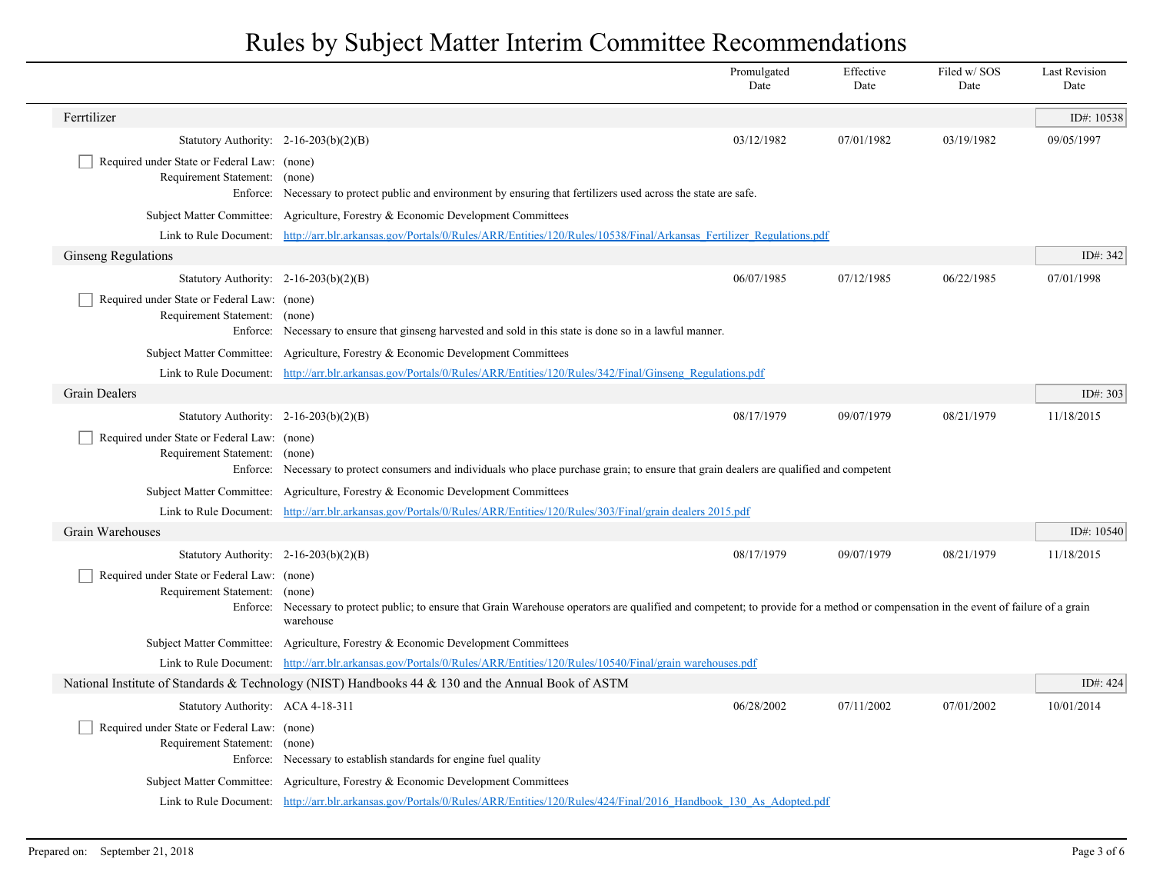|                                                                              |                                                                                                                                                                                                               | Promulgated<br>Date | Effective<br>Date | Filed w/ SOS<br>Date | <b>Last Revision</b><br>Date |  |
|------------------------------------------------------------------------------|---------------------------------------------------------------------------------------------------------------------------------------------------------------------------------------------------------------|---------------------|-------------------|----------------------|------------------------------|--|
| Ferrtilizer                                                                  |                                                                                                                                                                                                               |                     |                   |                      | ID#: 10538                   |  |
| Statutory Authority: $2-16-203(b)(2)(B)$                                     |                                                                                                                                                                                                               | 03/12/1982          | 07/01/1982        | 03/19/1982           | 09/05/1997                   |  |
| Required under State or Federal Law: (none)<br>Requirement Statement:        | (none)<br>Enforce: Necessary to protect public and environment by ensuring that fertilizers used across the state are safe.                                                                                   |                     |                   |                      |                              |  |
|                                                                              | Subject Matter Committee: Agriculture, Forestry & Economic Development Committees                                                                                                                             |                     |                   |                      |                              |  |
|                                                                              | Link to Rule Document: http://arr.blr.arkansas.gov/Portals/0/Rules/ARR/Entities/120/Rules/10538/Final/Arkansas Fertilizer Regulations.pdf                                                                     |                     |                   |                      |                              |  |
| <b>Ginseng Regulations</b>                                                   |                                                                                                                                                                                                               |                     |                   |                      | ID#: 342                     |  |
| Statutory Authority: $2-16-203(b)(2)(B)$                                     |                                                                                                                                                                                                               | 06/07/1985          | 07/12/1985        | 06/22/1985           | 07/01/1998                   |  |
| Required under State or Federal Law: (none)<br>Requirement Statement: (none) | Enforce: Necessary to ensure that ginseng harvested and sold in this state is done so in a lawful manner.                                                                                                     |                     |                   |                      |                              |  |
|                                                                              | Subject Matter Committee: Agriculture, Forestry & Economic Development Committees                                                                                                                             |                     |                   |                      |                              |  |
|                                                                              | Link to Rule Document: http://arr.blr.arkansas.gov/Portals/0/Rules/ARR/Entities/120/Rules/342/Final/Ginseng Regulations.pdf                                                                                   |                     |                   |                      |                              |  |
| <b>Grain Dealers</b>                                                         |                                                                                                                                                                                                               |                     |                   |                      | ID#: 303                     |  |
| Statutory Authority: $2-16-203(b)(2)(B)$                                     |                                                                                                                                                                                                               | 08/17/1979          | 09/07/1979        | 08/21/1979           | 11/18/2015                   |  |
| Required under State or Federal Law: (none)<br>Requirement Statement: (none) | Enforce: Necessary to protect consumers and individuals who place purchase grain; to ensure that grain dealers are qualified and competent                                                                    |                     |                   |                      |                              |  |
|                                                                              | Subject Matter Committee: Agriculture, Forestry & Economic Development Committees                                                                                                                             |                     |                   |                      |                              |  |
|                                                                              | Link to Rule Document: http://arr.blr.arkansas.gov/Portals/0/Rules/ARR/Entities/120/Rules/303/Final/grain dealers 2015.pdf                                                                                    |                     |                   |                      |                              |  |
| Grain Warehouses                                                             |                                                                                                                                                                                                               |                     |                   |                      | ID#: 10540                   |  |
| Statutory Authority: $2-16-203(b)(2)(B)$                                     |                                                                                                                                                                                                               | 08/17/1979          | 09/07/1979        | 08/21/1979           | 11/18/2015                   |  |
| Required under State or Federal Law: (none)<br>Requirement Statement:        | (none)<br>Enforce: Necessary to protect public; to ensure that Grain Warehouse operators are qualified and competent; to provide for a method or compensation in the event of failure of a grain<br>warehouse |                     |                   |                      |                              |  |
|                                                                              | Subject Matter Committee: Agriculture, Forestry & Economic Development Committees                                                                                                                             |                     |                   |                      |                              |  |
|                                                                              | Link to Rule Document: http://arr.blr.arkansas.gov/Portals/0/Rules/ARR/Entities/120/Rules/10540/Final/grain warehouses.pdf                                                                                    |                     |                   |                      |                              |  |
|                                                                              | National Institute of Standards & Technology (NIST) Handbooks 44 & 130 and the Annual Book of ASTM                                                                                                            |                     |                   |                      | ID#: $424$                   |  |
| Statutory Authority: ACA 4-18-311                                            |                                                                                                                                                                                                               | 06/28/2002          | 07/11/2002        | 07/01/2002           | 10/01/2014                   |  |
| Required under State or Federal Law: (none)<br>Requirement Statement: (none) | Enforce: Necessary to establish standards for engine fuel quality                                                                                                                                             |                     |                   |                      |                              |  |
|                                                                              | Subject Matter Committee: Agriculture, Forestry & Economic Development Committees                                                                                                                             |                     |                   |                      |                              |  |
|                                                                              | Link to Rule Document: http://arr.blr.arkansas.gov/Portals/0/Rules/ARR/Entities/120/Rules/424/Final/2016 Handbook 130 As Adopted.pdf                                                                          |                     |                   |                      |                              |  |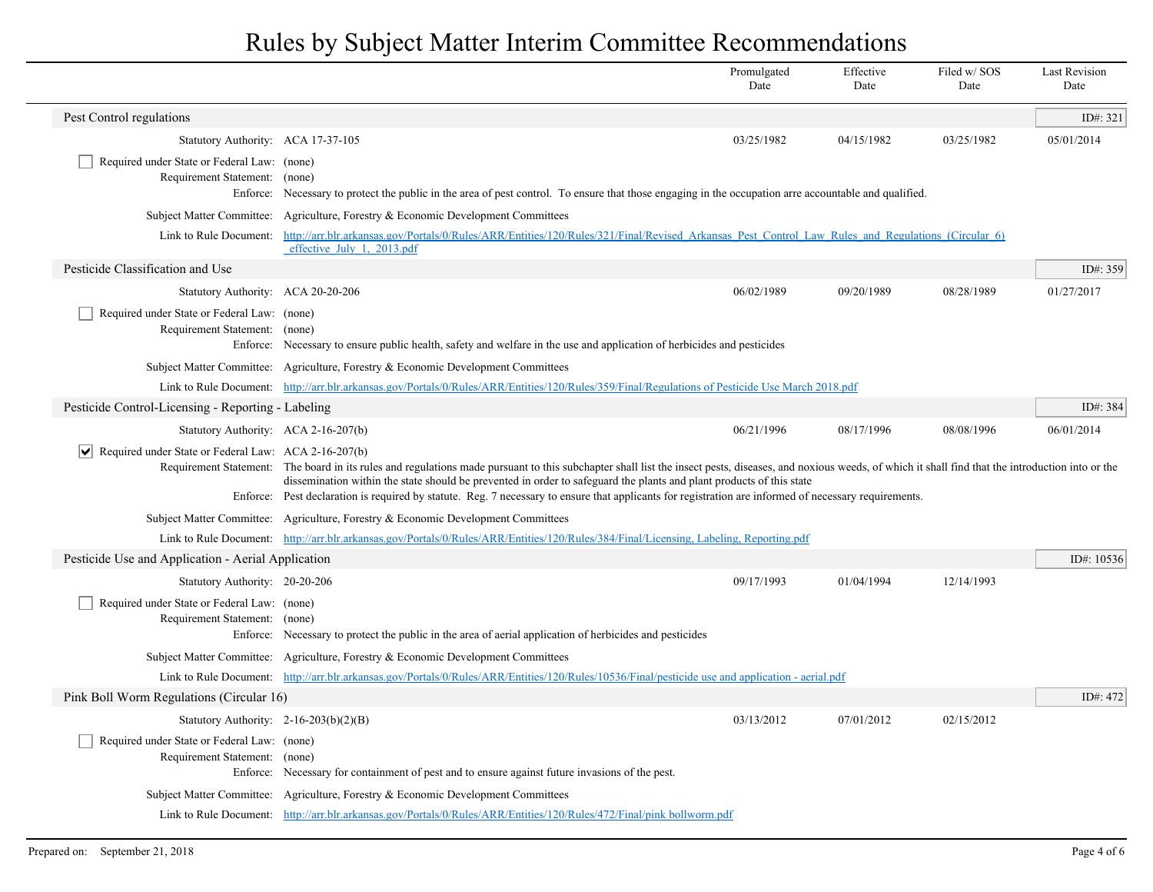|                                                                              |                                                                                                                                                                                                                                                                                                                                                                                                                                                                                                    | Promulgated<br>Date | Effective<br>Date | Filed w/SOS<br>Date | <b>Last Revision</b><br>Date |
|------------------------------------------------------------------------------|----------------------------------------------------------------------------------------------------------------------------------------------------------------------------------------------------------------------------------------------------------------------------------------------------------------------------------------------------------------------------------------------------------------------------------------------------------------------------------------------------|---------------------|-------------------|---------------------|------------------------------|
| Pest Control regulations                                                     |                                                                                                                                                                                                                                                                                                                                                                                                                                                                                                    |                     |                   |                     | ID#: 321                     |
| Statutory Authority: ACA 17-37-105                                           |                                                                                                                                                                                                                                                                                                                                                                                                                                                                                                    | 03/25/1982          | 04/15/1982        | 03/25/1982          | 05/01/2014                   |
| Required under State or Federal Law: (none)<br>Requirement Statement: (none) | Enforce: Necessary to protect the public in the area of pest control. To ensure that those engaging in the occupation arre accountable and qualified.                                                                                                                                                                                                                                                                                                                                              |                     |                   |                     |                              |
|                                                                              | Subject Matter Committee: Agriculture, Forestry & Economic Development Committees                                                                                                                                                                                                                                                                                                                                                                                                                  |                     |                   |                     |                              |
| Link to Rule Document:                                                       | http://arr.blr.arkansas.gov/Portals/0/Rules/ARR/Entities/120/Rules/321/Final/Revised Arkansas Pest Control Law Rules and Regulations (Circular 6)<br>effective July 1, 2013.pdf                                                                                                                                                                                                                                                                                                                    |                     |                   |                     |                              |
| Pesticide Classification and Use                                             |                                                                                                                                                                                                                                                                                                                                                                                                                                                                                                    |                     |                   |                     | ID#: 359                     |
| Statutory Authority: ACA 20-20-206                                           |                                                                                                                                                                                                                                                                                                                                                                                                                                                                                                    | 06/02/1989          | 09/20/1989        | 08/28/1989          | 01/27/2017                   |
| Required under State or Federal Law: (none)<br>Requirement Statement: (none) | Enforce: Necessary to ensure public health, safety and welfare in the use and application of herbicides and pesticides                                                                                                                                                                                                                                                                                                                                                                             |                     |                   |                     |                              |
|                                                                              | Subject Matter Committee: Agriculture, Forestry & Economic Development Committees                                                                                                                                                                                                                                                                                                                                                                                                                  |                     |                   |                     |                              |
|                                                                              | Link to Rule Document: http://arr.blr.arkansas.gov/Portals/0/Rules/ARR/Entities/120/Rules/359/Final/Regulations of Pesticide Use March 2018.pdf                                                                                                                                                                                                                                                                                                                                                    |                     |                   |                     |                              |
| Pesticide Control-Licensing - Reporting - Labeling                           |                                                                                                                                                                                                                                                                                                                                                                                                                                                                                                    |                     |                   |                     | ID#: 384                     |
| Statutory Authority: ACA 2-16-207(b)                                         |                                                                                                                                                                                                                                                                                                                                                                                                                                                                                                    | 06/21/1996          | 08/17/1996        | 08/08/1996          | 06/01/2014                   |
| VI<br>Required under State or Federal Law: ACA 2-16-207(b)                   | Requirement Statement: The board in its rules and regulations made pursuant to this subchapter shall list the insect pests, diseases, and noxious weeds, of which it shall find that the introduction into or the<br>dissemination within the state should be prevented in order to safeguard the plants and plant products of this state<br>Enforce: Pest declaration is required by statute. Reg. 7 necessary to ensure that applicants for registration are informed of necessary requirements. |                     |                   |                     |                              |
|                                                                              | Subject Matter Committee: Agriculture, Forestry & Economic Development Committees                                                                                                                                                                                                                                                                                                                                                                                                                  |                     |                   |                     |                              |
|                                                                              | Link to Rule Document: http://arr.blr.arkansas.gov/Portals/0/Rules/ARR/Entities/120/Rules/384/Final/Licensing, Labeling, Reporting.pdf                                                                                                                                                                                                                                                                                                                                                             |                     |                   |                     |                              |
| Pesticide Use and Application - Aerial Application                           |                                                                                                                                                                                                                                                                                                                                                                                                                                                                                                    |                     |                   |                     | ID#: 10536                   |
| Statutory Authority: 20-20-206                                               |                                                                                                                                                                                                                                                                                                                                                                                                                                                                                                    | 09/17/1993          | 01/04/1994        | 12/14/1993          |                              |
| Required under State or Federal Law: (none)<br>Requirement Statement: (none) | Enforce: Necessary to protect the public in the area of aerial application of herbicides and pesticides                                                                                                                                                                                                                                                                                                                                                                                            |                     |                   |                     |                              |
|                                                                              | Subject Matter Committee: Agriculture, Forestry & Economic Development Committees                                                                                                                                                                                                                                                                                                                                                                                                                  |                     |                   |                     |                              |
|                                                                              | Link to Rule Document: http://arr.blr.arkansas.gov/Portals/0/Rules/ARR/Entities/120/Rules/10536/Final/pesticide use and application - aerial.pdf                                                                                                                                                                                                                                                                                                                                                   |                     |                   |                     |                              |
| Pink Boll Worm Regulations (Circular 16)                                     |                                                                                                                                                                                                                                                                                                                                                                                                                                                                                                    |                     |                   |                     | ID#: 472                     |
| Statutory Authority: $2-16-203(b)(2)(B)$                                     |                                                                                                                                                                                                                                                                                                                                                                                                                                                                                                    | 03/13/2012          | 07/01/2012        | 02/15/2012          |                              |
| Required under State or Federal Law: (none)<br>Requirement Statement: (none) | Enforce: Necessary for containment of pest and to ensure against future invasions of the pest.                                                                                                                                                                                                                                                                                                                                                                                                     |                     |                   |                     |                              |
|                                                                              | Subject Matter Committee: Agriculture, Forestry & Economic Development Committees                                                                                                                                                                                                                                                                                                                                                                                                                  |                     |                   |                     |                              |
|                                                                              | Link to Rule Document: http://arr.blr.arkansas.gov/Portals/0/Rules/ARR/Entities/120/Rules/472/Final/pink bollworm.pdf                                                                                                                                                                                                                                                                                                                                                                              |                     |                   |                     |                              |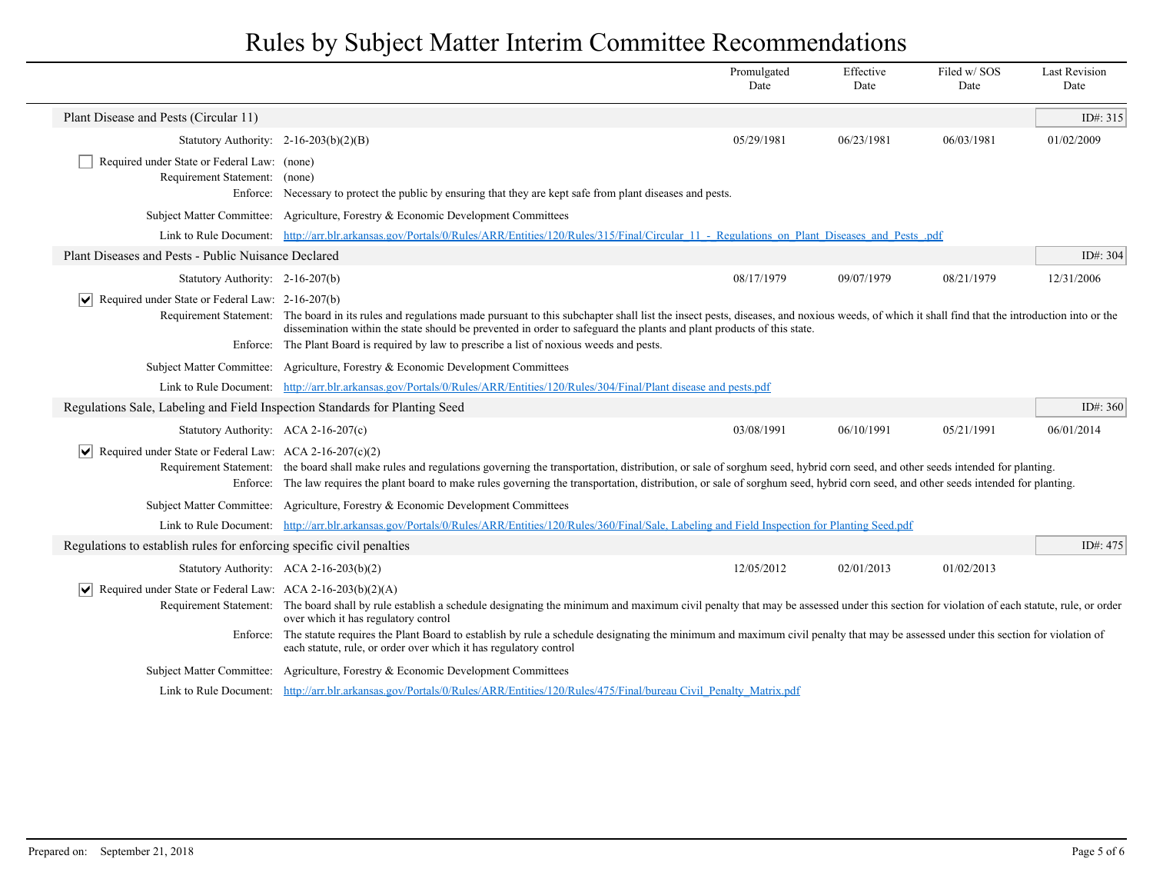|                                                                              |                                                                                                                                                                                                                                                                                                                                                                                                                                                 | Promulgated<br>Date | Effective<br>Date | Filed w/SOS<br>Date | <b>Last Revision</b><br>Date |
|------------------------------------------------------------------------------|-------------------------------------------------------------------------------------------------------------------------------------------------------------------------------------------------------------------------------------------------------------------------------------------------------------------------------------------------------------------------------------------------------------------------------------------------|---------------------|-------------------|---------------------|------------------------------|
| Plant Disease and Pests (Circular 11)                                        |                                                                                                                                                                                                                                                                                                                                                                                                                                                 |                     |                   |                     | ID#: 315                     |
| Statutory Authority: $2-16-203(b)(2)(B)$                                     |                                                                                                                                                                                                                                                                                                                                                                                                                                                 | 05/29/1981          | 06/23/1981        | 06/03/1981          | 01/02/2009                   |
| Required under State or Federal Law: (none)<br>Requirement Statement: (none) | Enforce: Necessary to protect the public by ensuring that they are kept safe from plant diseases and pests.                                                                                                                                                                                                                                                                                                                                     |                     |                   |                     |                              |
|                                                                              | Subject Matter Committee: Agriculture, Forestry & Economic Development Committees                                                                                                                                                                                                                                                                                                                                                               |                     |                   |                     |                              |
|                                                                              | Link to Rule Document: http://arr.blr.arkansas.gov/Portals/0/Rules/ARR/Entities/120/Rules/315/Final/Circular 11 - Regulations on Plant Diseases and Pests .pdf                                                                                                                                                                                                                                                                                  |                     |                   |                     |                              |
| Plant Diseases and Pests - Public Nuisance Declared                          |                                                                                                                                                                                                                                                                                                                                                                                                                                                 |                     |                   |                     | ID#: 304                     |
| Statutory Authority: 2-16-207(b)                                             |                                                                                                                                                                                                                                                                                                                                                                                                                                                 | 08/17/1979          | 09/07/1979        | 08/21/1979          | 12/31/2006                   |
| Required under State or Federal Law: 2-16-207(b)<br>$ \bm{\mathsf{v}} $      | Requirement Statement: The board in its rules and regulations made pursuant to this subchapter shall list the insect pests, diseases, and noxious weeds, of which it shall find that the introduction into or the<br>dissemination within the state should be prevented in order to safeguard the plants and plant products of this state.<br>Enforce: The Plant Board is required by law to prescribe a list of noxious weeds and pests.       |                     |                   |                     |                              |
|                                                                              | Subject Matter Committee: Agriculture, Forestry & Economic Development Committees                                                                                                                                                                                                                                                                                                                                                               |                     |                   |                     |                              |
|                                                                              | Link to Rule Document: http://arr.blr.arkansas.gov/Portals/0/Rules/ARR/Entities/120/Rules/304/Final/Plant disease and pests.pdf                                                                                                                                                                                                                                                                                                                 |                     |                   |                     |                              |
| Regulations Sale, Labeling and Field Inspection Standards for Planting Seed  |                                                                                                                                                                                                                                                                                                                                                                                                                                                 |                     |                   |                     | ID#: 360                     |
| Statutory Authority: ACA 2-16-207(c)                                         |                                                                                                                                                                                                                                                                                                                                                                                                                                                 | 03/08/1991          | 06/10/1991        | 05/21/1991          | 06/01/2014                   |
| Required under State or Federal Law: ACA 2-16-207(c)(2)                      | Requirement Statement: the board shall make rules and regulations governing the transportation, distribution, or sale of sorghum seed, hybrid corn seed, and other seeds intended for planting.<br>Enforce: The law requires the plant board to make rules governing the transportation, distribution, or sale of sorghum seed, hybrid corn seed, and other seeds intended for planting.                                                        |                     |                   |                     |                              |
|                                                                              | Subject Matter Committee: Agriculture, Forestry & Economic Development Committees                                                                                                                                                                                                                                                                                                                                                               |                     |                   |                     |                              |
|                                                                              | Link to Rule Document: http://arr.blr.arkansas.gov/Portals/0/Rules/ARR/Entities/120/Rules/360/Final/Sale, Labeling and Field Inspection for Planting Seed.pdf                                                                                                                                                                                                                                                                                   |                     |                   |                     |                              |
| Regulations to establish rules for enforcing specific civil penalties        |                                                                                                                                                                                                                                                                                                                                                                                                                                                 |                     |                   |                     | ID#: $475$                   |
|                                                                              | Statutory Authority: ACA 2-16-203(b)(2)                                                                                                                                                                                                                                                                                                                                                                                                         | 12/05/2012          | 02/01/2013        | 01/02/2013          |                              |
| $ \mathbf{v} $ Required under State or Federal Law: ACA 2-16-203(b)(2)(A)    | Requirement Statement: The board shall by rule establish a schedule designating the minimum and maximum civil penalty that may be assessed under this section for violation of each statute, rule, or order<br>over which it has regulatory control<br>Enforce: The statute requires the Plant Board to establish by rule a schedule designating the minimum and maximum civil penalty that may be assessed under this section for violation of |                     |                   |                     |                              |
|                                                                              | each statute, rule, or order over which it has regulatory control                                                                                                                                                                                                                                                                                                                                                                               |                     |                   |                     |                              |
|                                                                              | Subject Matter Committee: Agriculture, Forestry & Economic Development Committees                                                                                                                                                                                                                                                                                                                                                               |                     |                   |                     |                              |
|                                                                              | Link to Rule Document: http://arr.blr.arkansas.gov/Portals/0/Rules/ARR/Entities/120/Rules/475/Final/bureau Civil Penalty Matrix.pdf                                                                                                                                                                                                                                                                                                             |                     |                   |                     |                              |